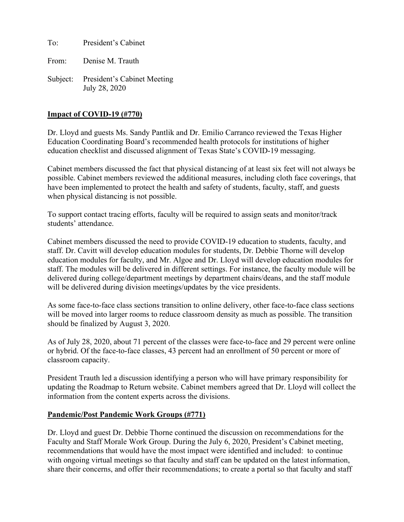To: President's Cabinet

From: Denise M. Trauth

Subject: President's Cabinet Meeting July 28, 2020

### **Impact of COVID-19 (#770)**

Dr. Lloyd and guests Ms. Sandy Pantlik and Dr. Emilio Carranco reviewed the Texas Higher Education Coordinating Board's recommended health protocols for institutions of higher education checklist and discussed alignment of Texas State's COVID-19 messaging.

Cabinet members discussed the fact that physical distancing of at least six feet will not always be possible. Cabinet members reviewed the additional measures, including cloth face coverings, that have been implemented to protect the health and safety of students, faculty, staff, and guests when physical distancing is not possible.

To support contact tracing efforts, faculty will be required to assign seats and monitor/track students' attendance.

Cabinet members discussed the need to provide COVID-19 education to students, faculty, and staff. Dr. Cavitt will develop education modules for students, Dr. Debbie Thorne will develop education modules for faculty, and Mr. Algoe and Dr. Lloyd will develop education modules for staff. The modules will be delivered in different settings. For instance, the faculty module will be delivered during college/department meetings by department chairs/deans, and the staff module will be delivered during division meetings/updates by the vice presidents.

As some face-to-face class sections transition to online delivery, other face-to-face class sections will be moved into larger rooms to reduce classroom density as much as possible. The transition should be finalized by August 3, 2020.

As of July 28, 2020, about 71 percent of the classes were face-to-face and 29 percent were online or hybrid. Of the face-to-face classes, 43 percent had an enrollment of 50 percent or more of classroom capacity.

President Trauth led a discussion identifying a person who will have primary responsibility for updating the Roadmap to Return website. Cabinet members agreed that Dr. Lloyd will collect the information from the content experts across the divisions.

#### **Pandemic/Post Pandemic Work Groups (#771)**

Dr. Lloyd and guest Dr. Debbie Thorne continued the discussion on recommendations for the Faculty and Staff Morale Work Group. During the July 6, 2020, President's Cabinet meeting, recommendations that would have the most impact were identified and included: to continue with ongoing virtual meetings so that faculty and staff can be updated on the latest information, share their concerns, and offer their recommendations; to create a portal so that faculty and staff